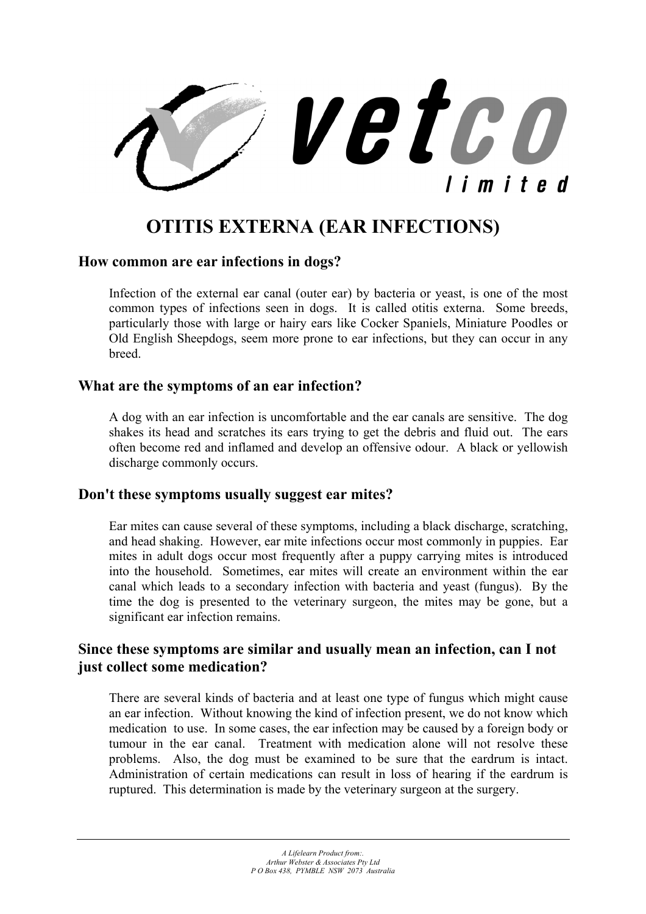

# **OTITIS EXTERNA (EAR INFECTIONS)**

#### **How common are ear infections in dogs?**

Infection of the external ear canal (outer ear) by bacteria or yeast, is one of the most common types of infections seen in dogs. It is called otitis externa. Some breeds, particularly those with large or hairy ears like Cocker Spaniels, Miniature Poodles or Old English Sheepdogs, seem more prone to ear infections, but they can occur in any **breed** 

## **What are the symptoms of an ear infection?**

A dog with an ear infection is uncomfortable and the ear canals are sensitive. The dog shakes its head and scratches its ears trying to get the debris and fluid out. The ears often become red and inflamed and develop an offensive odour. A black or yellowish discharge commonly occurs.

#### **Don't these symptoms usually suggest ear mites?**

Ear mites can cause several of these symptoms, including a black discharge, scratching, and head shaking. However, ear mite infections occur most commonly in puppies. Ear mites in adult dogs occur most frequently after a puppy carrying mites is introduced into the household. Sometimes, ear mites will create an environment within the ear canal which leads to a secondary infection with bacteria and yeast (fungus). By the time the dog is presented to the veterinary surgeon, the mites may be gone, but a significant ear infection remains.

# **Since these symptoms are similar and usually mean an infection, can I not just collect some medication?**

There are several kinds of bacteria and at least one type of fungus which might cause an ear infection. Without knowing the kind of infection present, we do not know which medication to use. In some cases, the ear infection may be caused by a foreign body or tumour in the ear canal. Treatment with medication alone will not resolve these problems. Also, the dog must be examined to be sure that the eardrum is intact. Administration of certain medications can result in loss of hearing if the eardrum is ruptured. This determination is made by the veterinary surgeon at the surgery.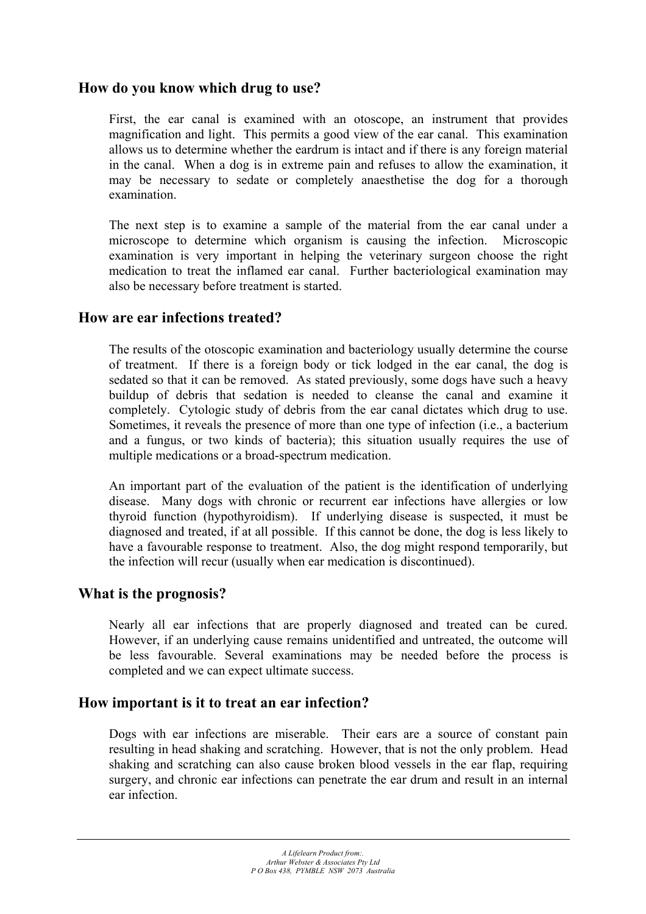# **How do you know which drug to use?**

First, the ear canal is examined with an otoscope, an instrument that provides magnification and light. This permits a good view of the ear canal. This examination allows us to determine whether the eardrum is intact and if there is any foreign material in the canal. When a dog is in extreme pain and refuses to allow the examination, it may be necessary to sedate or completely anaesthetise the dog for a thorough examination.

The next step is to examine a sample of the material from the ear canal under a microscope to determine which organism is causing the infection. Microscopic examination is very important in helping the veterinary surgeon choose the right medication to treat the inflamed ear canal. Further bacteriological examination may also be necessary before treatment is started.

#### **How are ear infections treated?**

The results of the otoscopic examination and bacteriology usually determine the course of treatment. If there is a foreign body or tick lodged in the ear canal, the dog is sedated so that it can be removed. As stated previously, some dogs have such a heavy buildup of debris that sedation is needed to cleanse the canal and examine it completely. Cytologic study of debris from the ear canal dictates which drug to use. Sometimes, it reveals the presence of more than one type of infection (i.e., a bacterium and a fungus, or two kinds of bacteria); this situation usually requires the use of multiple medications or a broad-spectrum medication.

An important part of the evaluation of the patient is the identification of underlying disease. Many dogs with chronic or recurrent ear infections have allergies or low thyroid function (hypothyroidism). If underlying disease is suspected, it must be diagnosed and treated, if at all possible. If this cannot be done, the dog is less likely to have a favourable response to treatment. Also, the dog might respond temporarily, but the infection will recur (usually when ear medication is discontinued).

#### **What is the prognosis?**

Nearly all ear infections that are properly diagnosed and treated can be cured. However, if an underlying cause remains unidentified and untreated, the outcome will be less favourable. Several examinations may be needed before the process is completed and we can expect ultimate success.

#### **How important is it to treat an ear infection?**

Dogs with ear infections are miserable. Their ears are a source of constant pain resulting in head shaking and scratching. However, that is not the only problem. Head shaking and scratching can also cause broken blood vessels in the ear flap, requiring surgery, and chronic ear infections can penetrate the ear drum and result in an internal ear infection.